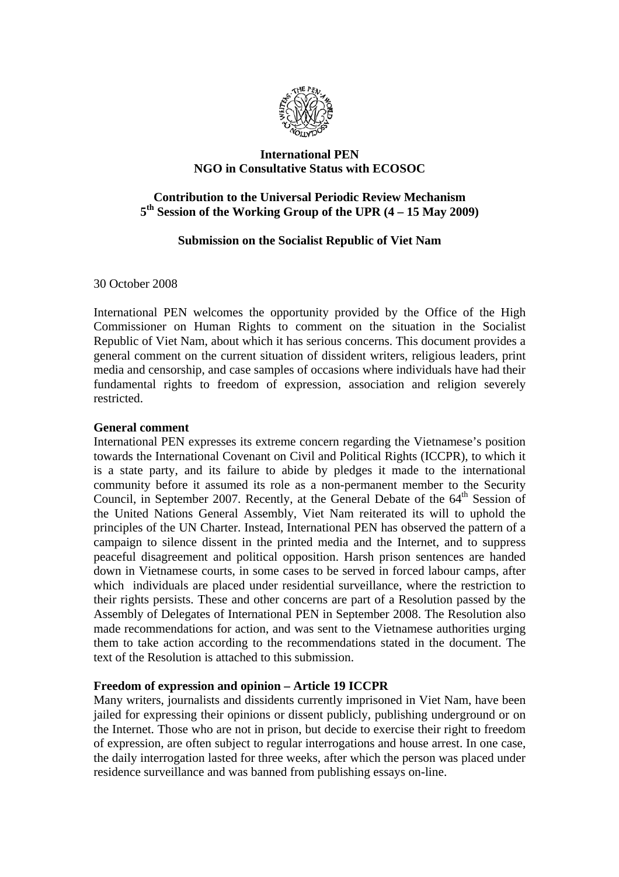

## **International PEN NGO in Consultative Status with ECOSOC**

# **Contribution to the Universal Periodic Review Mechanism 5th Session of the Working Group of the UPR (4 – 15 May 2009)**

# **Submission on the Socialist Republic of Viet Nam**

30 October 2008

International PEN welcomes the opportunity provided by the Office of the High Commissioner on Human Rights to comment on the situation in the Socialist Republic of Viet Nam, about which it has serious concerns. This document provides a general comment on the current situation of dissident writers, religious leaders, print media and censorship, and case samples of occasions where individuals have had their fundamental rights to freedom of expression, association and religion severely restricted.

### **General comment**

International PEN expresses its extreme concern regarding the Vietnamese's position towards the International Covenant on Civil and Political Rights (ICCPR), to which it is a state party, and its failure to abide by pledges it made to the international community before it assumed its role as a non-permanent member to the Security Council, in September 2007. Recently, at the General Debate of the 64<sup>th</sup> Session of the United Nations General Assembly, Viet Nam reiterated its will to uphold the principles of the UN Charter. Instead, International PEN has observed the pattern of a campaign to silence dissent in the printed media and the Internet, and to suppress peaceful disagreement and political opposition. Harsh prison sentences are handed down in Vietnamese courts, in some cases to be served in forced labour camps, after which individuals are placed under residential surveillance, where the restriction to their rights persists. These and other concerns are part of a Resolution passed by the Assembly of Delegates of International PEN in September 2008. The Resolution also made recommendations for action, and was sent to the Vietnamese authorities urging them to take action according to the recommendations stated in the document. The text of the Resolution is attached to this submission.

### **Freedom of expression and opinion – Article 19 ICCPR**

Many writers, journalists and dissidents currently imprisoned in Viet Nam, have been jailed for expressing their opinions or dissent publicly, publishing underground or on the Internet. Those who are not in prison, but decide to exercise their right to freedom of expression, are often subject to regular interrogations and house arrest. In one case, the daily interrogation lasted for three weeks, after which the person was placed under residence surveillance and was banned from publishing essays on-line.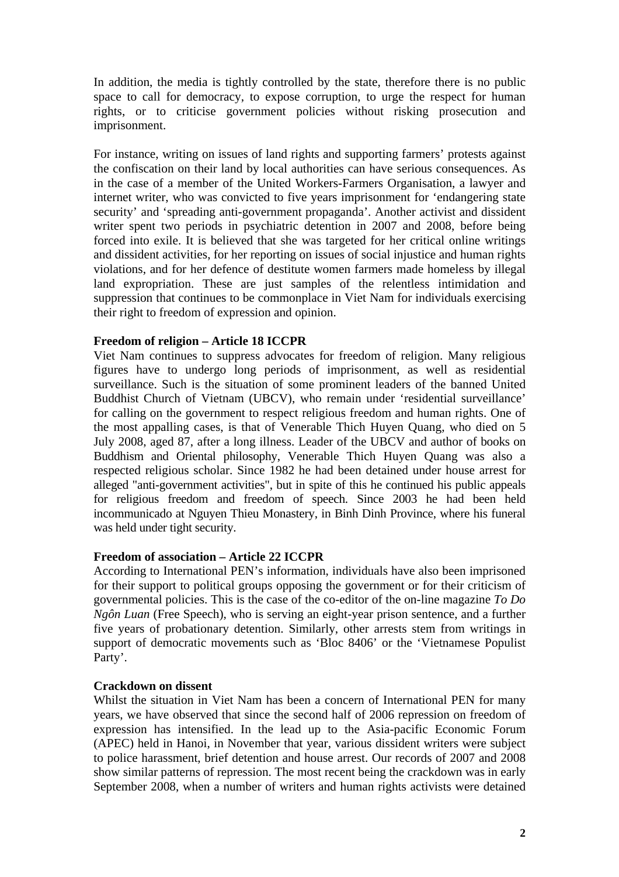In addition, the media is tightly controlled by the state, therefore there is no public space to call for democracy, to expose corruption, to urge the respect for human rights, or to criticise government policies without risking prosecution and imprisonment.

For instance, writing on issues of land rights and supporting farmers' protests against the confiscation on their land by local authorities can have serious consequences. As in the case of a member of the United Workers-Farmers Organisation, a lawyer and internet writer, who was convicted to five years imprisonment for 'endangering state security' and 'spreading anti-government propaganda'. Another activist and dissident writer spent two periods in psychiatric detention in 2007 and 2008, before being forced into exile. It is believed that she was targeted for her critical online writings and dissident activities, for her reporting on issues of social injustice and human rights violations, and for her defence of destitute women farmers made homeless by illegal land expropriation. These are just samples of the relentless intimidation and suppression that continues to be commonplace in Viet Nam for individuals exercising their right to freedom of expression and opinion.

### **Freedom of religion – Article 18 ICCPR**

Viet Nam continues to suppress advocates for freedom of religion. Many religious figures have to undergo long periods of imprisonment, as well as residential surveillance. Such is the situation of some prominent leaders of the banned United Buddhist Church of Vietnam (UBCV), who remain under 'residential surveillance' for calling on the government to respect religious freedom and human rights. One of the most appalling cases, is that of Venerable Thich Huyen Quang, who died on 5 July 2008, aged 87, after a long illness. Leader of the UBCV and author of books on Buddhism and Oriental philosophy, Venerable Thich Huyen Quang was also a respected religious scholar. Since 1982 he had been detained under house arrest for alleged "anti-government activities", but in spite of this he continued his public appeals for religious freedom and freedom of speech. Since 2003 he had been held incommunicado at Nguyen Thieu Monastery, in Binh Dinh Province, where his funeral was held under tight security.

### **Freedom of association – Article 22 ICCPR**

According to International PEN's information, individuals have also been imprisoned for their support to political groups opposing the government or for their criticism of governmental policies. This is the case of the co-editor of the on-line magazine *To Do Ngôn Luan* (Free Speech), who is serving an eight-year prison sentence, and a further five years of probationary detention. Similarly, other arrests stem from writings in support of democratic movements such as 'Bloc 8406' or the 'Vietnamese Populist Party'.

#### **Crackdown on dissent**

Whilst the situation in Viet Nam has been a concern of International PEN for many years, we have observed that since the second half of 2006 repression on freedom of expression has intensified. In the lead up to the Asia-pacific Economic Forum (APEC) held in Hanoi, in November that year, various dissident writers were subject to police harassment, brief detention and house arrest. Our records of 2007 and 2008 show similar patterns of repression. The most recent being the crackdown was in early September 2008, when a number of writers and human rights activists were detained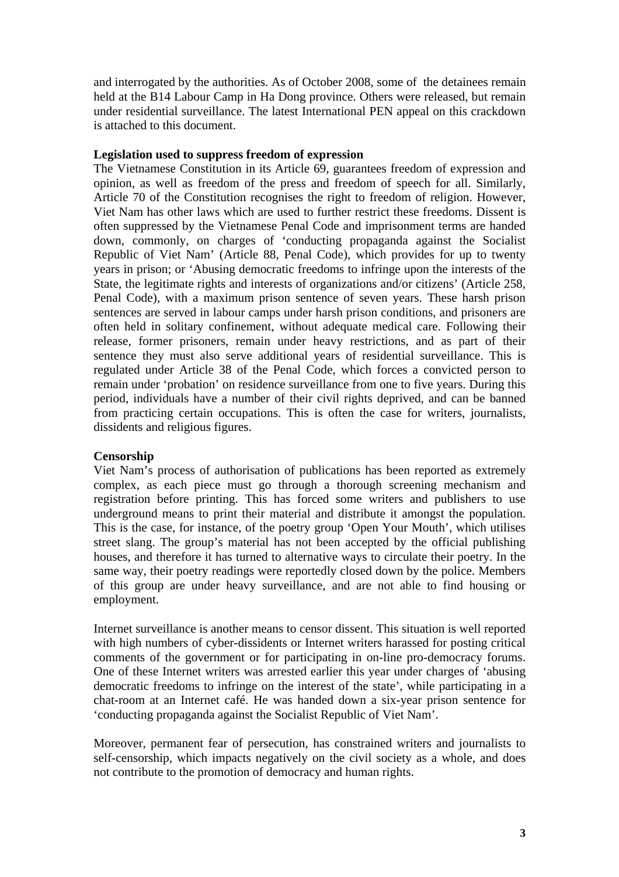and interrogated by the authorities. As of October 2008, some of the detainees remain held at the B14 Labour Camp in Ha Dong province. Others were released, but remain under residential surveillance. The latest International PEN appeal on this crackdown is attached to this document.

#### **Legislation used to suppress freedom of expression**

The Vietnamese Constitution in its Article 69, guarantees freedom of expression and opinion, as well as freedom of the press and freedom of speech for all. Similarly, Article 70 of the Constitution recognises the right to freedom of religion. However, Viet Nam has other laws which are used to further restrict these freedoms. Dissent is often suppressed by the Vietnamese Penal Code and imprisonment terms are handed down, commonly, on charges of 'conducting propaganda against the Socialist Republic of Viet Nam' (Article 88, Penal Code), which provides for up to twenty years in prison; or 'Abusing democratic freedoms to infringe upon the interests of the State, the legitimate rights and interests of organizations and/or citizens' (Article 258, Penal Code), with a maximum prison sentence of seven years. These harsh prison sentences are served in labour camps under harsh prison conditions, and prisoners are often held in solitary confinement, without adequate medical care. Following their release, former prisoners, remain under heavy restrictions, and as part of their sentence they must also serve additional years of residential surveillance. This is regulated under Article 38 of the Penal Code, which forces a convicted person to remain under 'probation' on residence surveillance from one to five years. During this period, individuals have a number of their civil rights deprived, and can be banned from practicing certain occupations. This is often the case for writers, journalists, dissidents and religious figures.

### **Censorship**

Viet Nam's process of authorisation of publications has been reported as extremely complex, as each piece must go through a thorough screening mechanism and registration before printing. This has forced some writers and publishers to use underground means to print their material and distribute it amongst the population. This is the case, for instance, of the poetry group 'Open Your Mouth', which utilises street slang. The group's material has not been accepted by the official publishing houses, and therefore it has turned to alternative ways to circulate their poetry. In the same way, their poetry readings were reportedly closed down by the police. Members of this group are under heavy surveillance, and are not able to find housing or employment.

Internet surveillance is another means to censor dissent. This situation is well reported with high numbers of cyber-dissidents or Internet writers harassed for posting critical comments of the government or for participating in on-line pro-democracy forums. One of these Internet writers was arrested earlier this year under charges of 'abusing democratic freedoms to infringe on the interest of the state', while participating in a chat-room at an Internet café. He was handed down a six-year prison sentence for 'conducting propaganda against the Socialist Republic of Viet Nam'.

Moreover, permanent fear of persecution, has constrained writers and journalists to self-censorship, which impacts negatively on the civil society as a whole, and does not contribute to the promotion of democracy and human rights.